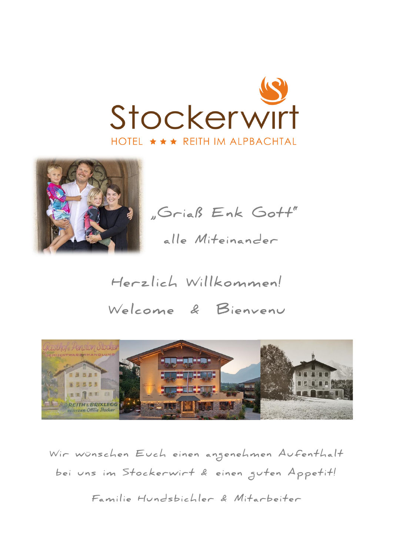



"Griaß Enk Gott" alle Miteinander

Herzlich Willkommen! Welcome & Bienvenu



Wir wünschen Euch einen angenehmen Aufenthalt bei uns im Stockerwirt & einen guten Appetit!

Familie Hundsbichler & Mitarbeiter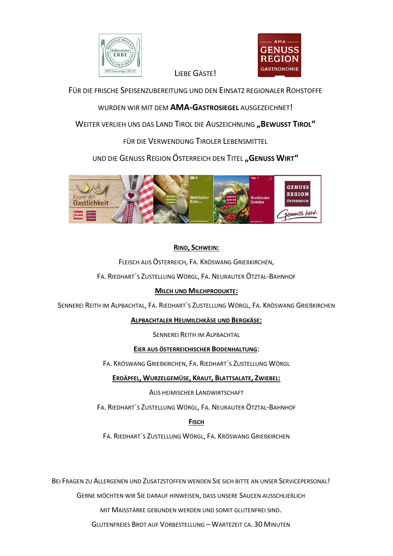

LIEBE GÄSTE!



FÜR DIE FRISCHE SPEISENZUBEREITUNG UND DEN EINSATZ REGIONALER ROHSTOFFE

WURDEN WIR MIT DEM AMA-GASTROSIEGEL AUSGEZEICHNET!

WEITER VERLIEH UNS DAS LAND TIROL DIE AUSZEICHNUNG "BEWUSST TIROL"

FÜR DIE VERWENDUNG TIROLER LEBENSMITTEL

UND DIE GENUSS REGION ÖSTERREICH DEN TITEL "GENUSS WIRT"



## RIND, SCHWEIN:

FLEISCH AUS ÖSTERREICH, FA. KRÖSWANG GRIEßKIRCHEN,

FA. RIEDHART'S ZUSTELLUNG WÖRGL, FA. NEURAUTER ÖTZTAL-BAHNHOF

## **MILCH UND MILCHPRODUKTE:**

SENNEREI REITH IM ALPBACHTAL, FA. RIEDHART'S ZUSTELLUNG WÖRGL, FA. KRÖSWANG GRIEßKIRCHEN

### ALPBACHTALER HEUMILCHKÄSE UND BERGKÄSE:

SENNEREI REITH IM ALPBACHTAL

### EIER AUS ÖSTERREICHISCHER BODENHALTUNG:

FA. KRÖSWANG GRIEßKIRCHEN, FA. RIEDHART'S ZUSTELLUNG WÖRGL

ERDÄPFEL, WURZELGEMÜSE, KRAUT, BLATTSALATE, ZWIEBEL:

AUS HEIMISCHER LANDWIRTSCHAFT

FA. RIEDHART'S ZUSTELLUNG WÖRGL, FA. NEURAUTER ÖTZTAL-BAHNHOF

## **FISCH**

FA. RIEDHART'S ZUSTELLUNG WÖRGL, FA. KRÖSWANG GRIEBKIRCHEN

BEI FRAGEN ZU ALLERGENEN UND ZUSATZSTOFFEN WENDEN SIE SICH BITTE AN UNSER SERVICEPERSONAL!

GERNE MÖCHTEN WIR SIE DARAUF HINWEISEN, DASS UNSERE SAUCEN AUSSCHLIEßLICH

MIT MAISSTÄRKE GEBUNDEN WERDEN UND SOMIT GLUTENFREI SIND.

**GLUTENFREIES BROT AUF VORBESTELLUNG - WARTEZEIT CA. 30 MINUTEN**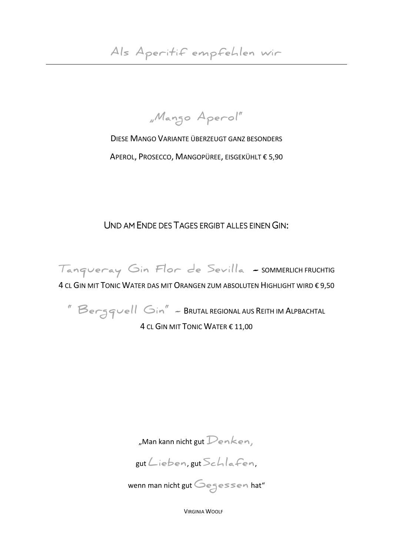"Mango Aperol"

DIESE MANGO VARIANTE ÜBERZEUGT GANZ BESONDERS APEROL, PROSECCO, MANGOPÜREE, EISGEKÜHLT € 5,90

UND AM ENDE DES TAGES ERGIBT ALLES EINEN GIN:

Tangueray Gin Flor de Sevilla - SOMMERLICH FRUCHTIG 4 CL GIN MIT TONIC WATER DAS MIT ORANGEN ZUM ABSOLUTEN HIGHLIGHT WIRD € 9,50

"Bergquell Gin" - BRUTAL REGIONAL AUS REITH IM ALPBACHTAL 4 CL GIN MIT TONIC WATER € 11.00

"Man kann nicht gut  $\mathcal{D}$ en $k$ en,

gut Lieben, gut Schlafen.

wenn man nicht gut Gegessen hat"

**VIRGINIA WOOLE**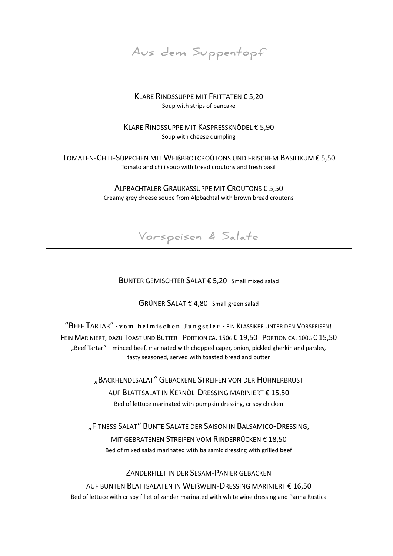**Aus dem Suppentopf**

### KLARE RINDSSUPPE MIT FRITTATEN € 5,20 Soup with strips of pancake

KLARE RINDSSUPPE MIT KASPRESSKNÖDEL € 5,90 Soup with cheese dumpling

TOMATEN-CHILI-SÜPPCHEN MIT WEIßBROTCROÛTONS UND FRISCHEM BASILIKUM € 5,50 Tomato and chili soup with bread croutons and fresh basil

#### ALPBACHTALER GRAUKASSUPPE MIT CROUTONS € 5,50 Creamy grey cheese soupe from Alpbachtal with brown bread croutons



BUNTER GEMISCHTER SALAT € 5,20 Small mixed salad

GRÜNER SALAT € 4,80 Small green salad

"BEEF TARTAR" - **v o m h e i m i s c h e n J u n g s t i e r** - EIN KLASSIKER UNTER DEN VORSPEISEN**!** FEIN MARINIERT, DAZU TOAST UND BUTTER - PORTION CA. 150G € 19,50 PORTION CA. 100G € 15,50 "Beef Tartar" – minced beef, marinated with chopped caper, onion, pickled gherkin and parsley, tasty seasoned, served with toasted bread and butter

> "BACKHENDLSALAT" GEBACKENE STREIFEN VON DER HÜHNERBRUST AUF BLATTSALAT IN KERNÖL-DRESSING MARINIERT € 15,50 Bed of lettuce marinated with pumpkin dressing, crispy chicken

"FITNESS SALAT" BUNTE SALATE DER SAISON IN BALSAMICO-DRESSING, MIT GEBRATENEN STREIFEN VOM RINDERRÜCKEN € 18,50 Bed of mixed salad marinated with balsamic dressing with grilled beef

ZANDERFILET IN DER SESAM-PANIER GEBACKEN

AUF BUNTEN BLATTSALATEN IN WEIßWEIN-DRESSING MARINIERT € 16,50 Bed of lettuce with crispy fillet of zander marinated with white wine dressing and Panna Rustica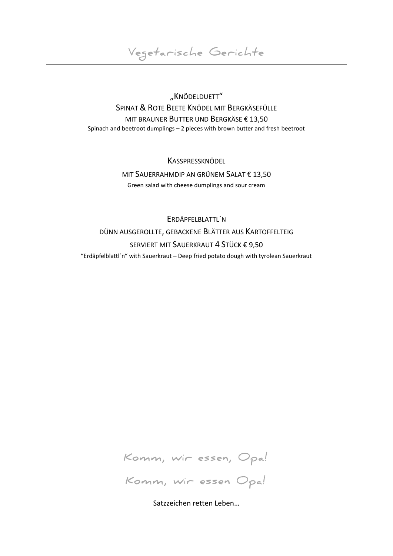**Vegetarische Gerichte**

"KNÖDELDUETT" SPINAT & ROTE BEETE KNÖDEL MIT BERGKÄSEFÜLLE MIT BRAUNER BUTTER UND BERGKÄSE € 13,50 Spinach and beetroot dumplings – 2 pieces with brown butter and fresh beetroot

> **KASSPRESSKNÖDEL** MIT SAUERRAHMDIP AN GRÜNEM SALAT € 13,50 Green salad with cheese dumplings and sour cream

ERDÄPFELBLATTL`N DÜNN AUSGEROLLTE, GEBACKENE BLÄTTER AUS KARTOFFELTEIG SERVIERT MIT SAUERKRAUT 4 STÜCK € 9,50 "Erdäpfelblattl´n" with Sauerkraut – Deep fried potato dough with tyrolean Sauerkraut



Satzzeichen retten Leben…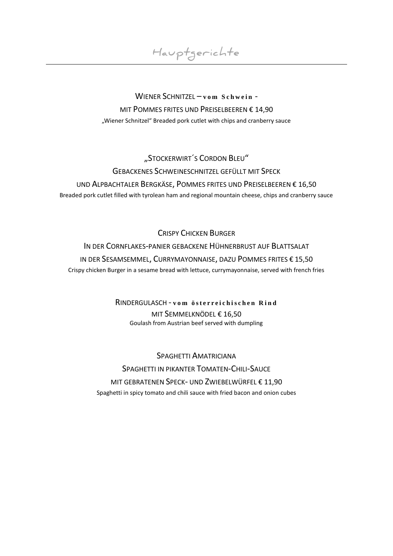**Hauptgerichte**

## WIENER SCHNITZEL - v o m S c h w e i n -MIT POMMES FRITES UND PREISELBEEREN € 14,90 "Wiener Schnitzel" Breaded pork cutlet with chips and cranberry sauce

# "STOCKERWIRT´S CORDON BLEU" GEBACKENES SCHWEINESCHNITZEL GEFÜLLT MIT SPECK UND ALPBACHTALER BERGKÄSE, POMMES FRITES UND PREISELBEEREN € 16,50 Breaded pork cutlet filled with tyrolean ham and regional mountain cheese, chips and cranberry sauce

## CRISPY CHICKEN BURGER

IN DER CORNFLAKES-PANIER GEBACKENE HÜHNERBRUST AUF BLATTSALAT IN DER SESAMSEMMEL, CURRYMAYONNAISE, DAZU POMMES FRITES € 15,50 Crispy chicken Burger in a sesame bread with lettuce, currymayonnaise, served with french fries

## RINDERGULASCH - **v o m ö s t e r r e i c h i s c h e n R i n d** MIT SEMMELKNÖDEL € 16,50 Goulash from Austrian beef served with dumpling

SPAGHETTI AMATRICIANA SPAGHETTI IN PIKANTER TOMATEN-CHILI-SAUCE MIT GEBRATENEN SPECK- UND ZWIEBELWÜRFEL € 11,90 Spaghetti in spicy tomato and chili sauce with fried bacon and onion cubes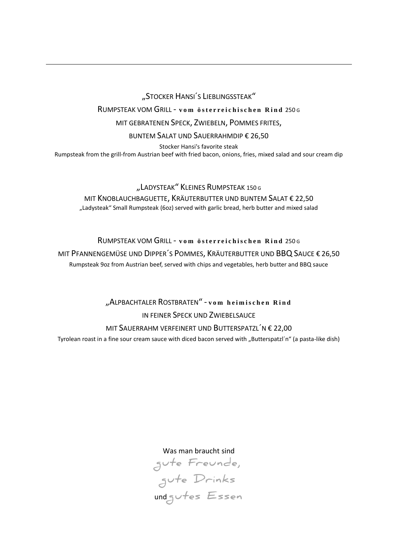"STOCKER HANSI´S LIEBLINGSSTEAK"

RUMPSTEAK VOM GRILL - vom österreichischen Rind 250G

MIT GEBRATENEN SPECK, ZWIEBELN, POMMES FRITES,

BUNTEM SALAT UND SAUERRAHMDIP € 26,50

Stocker Hansi's favorite steak Rumpsteak from the grill-from Austrian beef with fried bacon, onions, fries, mixed salad and sour cream dip

"LADYSTEAK" KLEINES RUMPSTEAK 150 G MIT KNOBLAUCHBAGUETTE, KRÄUTERBUTTER UND BUNTEM SALAT € 22,50 "Ladysteak" Small Rumpsteak (6oz) served with garlic bread, herb butter and mixed salad

RUMPSTEAK VOM GRILL - vom österreichischen Rind 250 G MIT PFANNENGEMÜSE UND DIPPER´S POMMES, KRÄUTERBUTTER UND BBQ SAUCE € 26,50 Rumpsteak 9oz from Austrian beef, served with chips and vegetables, herb butter and BBQ sauce

> "ALPBACHTALER ROSTBRATEN" - **v o m h e i m i s c h e n R i n d** IN FEINER SPECK UND ZWIEBELSAUCE MIT SAUERRAHM VERFEINERT UND BUTTERSPATZL´N € 22,00

Tvrolean roast in a fine sour cream sauce with diced bacon served with "Butterspatzl'n" (a pasta-like dish)

Was man braucht sind

**gute Freunde, gute Drinks** und **gutes Essen**